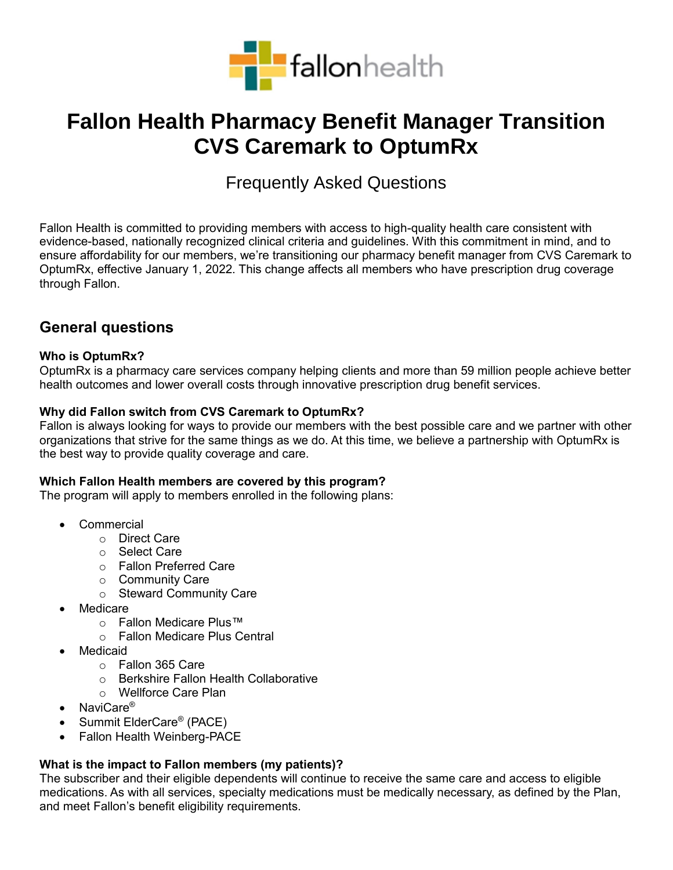

# **Fallon Health Pharmacy Benefit Manager Transition CVS Caremark to OptumRx**

## Frequently Asked Questions

Fallon Health is committed to providing members with access to high-quality health care consistent with evidence-based, nationally recognized clinical criteria and guidelines. With this commitment in mind, and to ensure affordability for our members, we're transitioning our pharmacy benefit manager from CVS Caremark to OptumRx, effective January 1, 2022. This change affects all members who have prescription drug coverage through Fallon.

## **General questions**

#### **Who is OptumRx?**

OptumRx is a pharmacy care services company helping clients and more than 59 million people achieve better health outcomes and lower overall costs through innovative prescription drug benefit services.

#### **Why did Fallon switch from CVS Caremark to OptumRx?**

Fallon is always looking for ways to provide our members with the best possible care and we partner with other organizations that strive for the same things as we do. At this time, we believe a partnership with OptumRx is the best way to provide quality coverage and care.

#### **Which Fallon Health members are covered by this program?**

The program will apply to members enrolled in the following plans:

- Commercial
	- o Direct Care
	- o Select Care
	- o Fallon Preferred Care
	- o Community Care
	- o Steward Community Care
- Medicare
	- o Fallon Medicare Plus™
	- o Fallon Medicare Plus Central
- Medicaid
	- o Fallon 365 Care
	- o Berkshire Fallon Health Collaborative
	- o Wellforce Care Plan
- NaviCare<sup>®</sup>
- Summit ElderCare<sup>®</sup> (PACE)
- Fallon Health Weinberg-PACE

#### **What is the impact to Fallon members (my patients)?**

The subscriber and their eligible dependents will continue to receive the same care and access to eligible medications. As with all services, specialty medications must be medically necessary, as defined by the Plan, and meet Fallon's benefit eligibility requirements.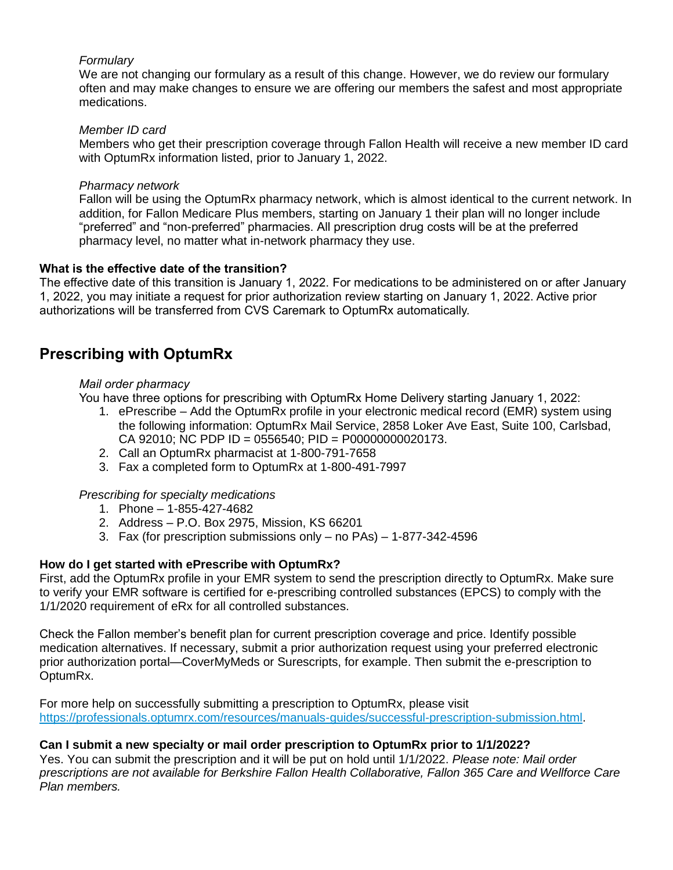#### *Formulary*

We are not changing our formulary as a result of this change. However, we do review our formulary often and may make changes to ensure we are offering our members the safest and most appropriate medications.

#### *Member ID card*

Members who get their prescription coverage through Fallon Health will receive a new member ID card with OptumRx information listed, prior to January 1, 2022.

#### *Pharmacy network*

Fallon will be using the OptumRx pharmacy network, which is almost identical to the current network. In addition, for Fallon Medicare Plus members, starting on January 1 their plan will no longer include "preferred" and "non-preferred" pharmacies. All prescription drug costs will be at the preferred pharmacy level, no matter what in-network pharmacy they use.

#### **What is the effective date of the transition?**

The effective date of this transition is January 1, 2022. For medications to be administered on or after January 1, 2022, you may initiate a request for prior authorization review starting on January 1, 2022. Active prior authorizations will be transferred from CVS Caremark to OptumRx automatically.

## **Prescribing with OptumRx**

#### *Mail order pharmacy*

You have three options for prescribing with OptumRx Home Delivery starting January 1, 2022:

- 1. ePrescribe Add the OptumRx profile in your electronic medical record (EMR) system using the following information: OptumRx Mail Service, 2858 Loker Ave East, Suite 100, Carlsbad, CA 92010; NC PDP ID = 0556540; PID = P00000000020173.
- 2. Call an OptumRx pharmacist at 1-800-791-7658
- 3. Fax a completed form to OptumRx at 1-800-491-7997

#### *Prescribing for specialty medications*

- 1. Phone 1-855-427-4682
- 2. Address P.O. Box 2975, Mission, KS 66201
- 3. Fax (for prescription submissions only no PAs) 1-877-342-4596

#### **How do I get started with ePrescribe with OptumRx?**

First, add the OptumRx profile in your EMR system to send the prescription directly to OptumRx. Make sure to verify your EMR software is certified for e-prescribing controlled substances (EPCS) to comply with the 1/1/2020 requirement of eRx for all controlled substances.

Check the Fallon member's benefit plan for current prescription coverage and price. Identify possible medication alternatives. If necessary, submit a prior authorization request using your preferred electronic prior authorization portal—CoverMyMeds or Surescripts, for example. Then submit the e-prescription to OptumRx.

For more help on successfully submitting a prescription to OptumRx, please visit [https://professionals.optumrx.com/resources/manuals-guides/successful-prescription-submission.html.](https://professionals.optumrx.com/resources/manuals-guides/successful-prescription-submission.html)

#### **Can I submit a new specialty or mail order prescription to OptumRx prior to 1/1/2022?**

Yes. You can submit the prescription and it will be put on hold until 1/1/2022. *Please note: Mail order prescriptions are not available for Berkshire Fallon Health Collaborative, Fallon 365 Care and Wellforce Care Plan members.*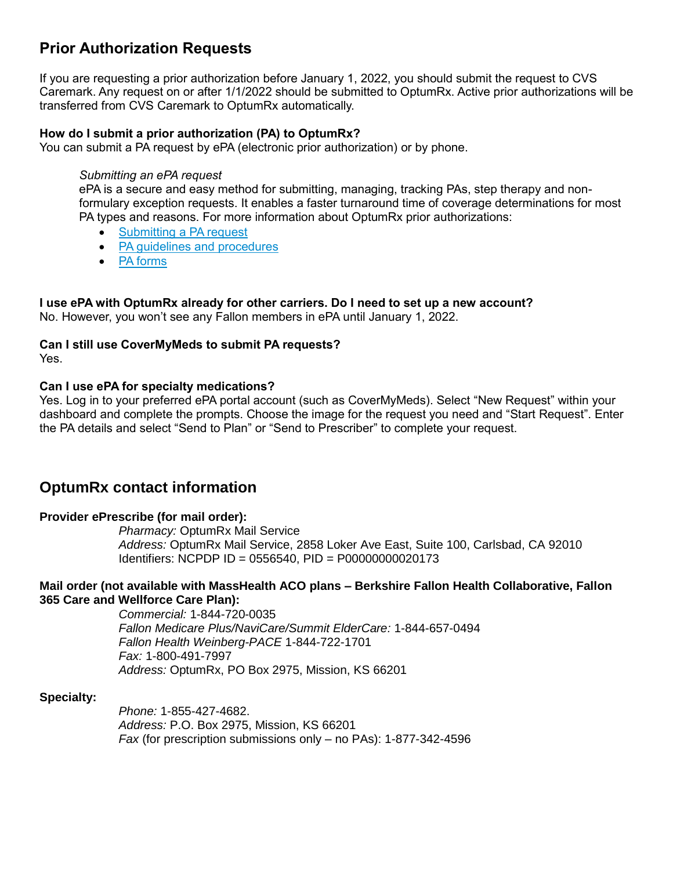## **Prior Authorization Requests**

If you are requesting a prior authorization before January 1, 2022, you should submit the request to CVS Caremark. Any request on or after 1/1/2022 should be submitted to OptumRx. Active prior authorizations will be transferred from CVS Caremark to OptumRx automatically.

#### **How do I submit a prior authorization (PA) to OptumRx?**

You can submit a PA request by ePA (electronic prior authorization) or by phone.

#### *Submitting an ePA request*

ePA is a secure and easy method for submitting, managing, tracking PAs, step therapy and nonformulary exception requests. It enables a faster turnaround time of coverage determinations for most PA types and reasons. For more information about OptumRx prior authorizations:

- [Submitting a PA request](https://professionals.optumrx.com/prior-authorization.html)
- PA quidelines and procedures
- [PA forms](https://professionals.optumrx.com/prior-authorization/prior-authorization-lob.html)

#### **I use ePA with OptumRx already for other carriers. Do I need to set up a new account?**

No. However, you won't see any Fallon members in ePA until January 1, 2022.

#### **Can I still use CoverMyMeds to submit PA requests?**  Yes.

#### **Can I use ePA for specialty medications?**

Yes. Log in to your preferred ePA portal account (such as CoverMyMeds). Select "New Request" within your dashboard and complete the prompts. Choose the image for the request you need and "Start Request". Enter the PA details and select "Send to Plan" or "Send to Prescriber" to complete your request.

## **OptumRx contact information**

#### **Provider ePrescribe (for mail order):**

*Pharmacy:* OptumRx Mail Service *Address:* OptumRx Mail Service, 2858 Loker Ave East, Suite 100, Carlsbad, CA 92010 Identifiers: NCPDP ID = 0556540, PID = P00000000020173

#### **Mail order (not available with MassHealth ACO plans – Berkshire Fallon Health Collaborative, Fallon 365 Care and Wellforce Care Plan):**

*Commercial:* 1-844-720-0035 *Fallon Medicare Plus/NaviCare/Summit ElderCare:* 1-844-657-0494 *Fallon Health Weinberg-PACE* 1-844-722-1701 *Fax:* 1-800-491-7997 *Address:* OptumRx, PO Box 2975, Mission, KS 66201

#### **Specialty:**

*Phone:* 1-855-427-4682. *Address:* P.O. Box 2975, Mission, KS 66201 *Fax* (for prescription submissions only – no PAs): 1-877-342-4596